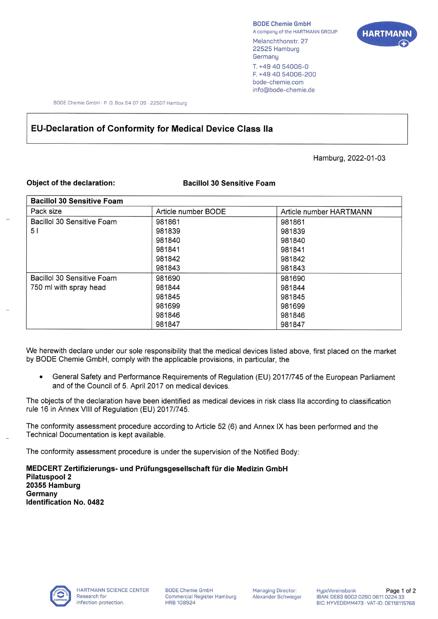BODE Chemie GmbH A company of the HARTMANN GROUP Melanchthonstr. 27 22525 Hamburg **Germany** T. +49 40 54006-0 F. +4940 54006-200 bode-chemie.com info@bode-chemie.de



BODE Chemie GmbH · P. O. Box 54 07 09 · 22507 Hamburg

## **EU-Declaration of Conformity for Medical Device Class Ila**

Hamburg, 2022-01-03

## **Object of the declaration: Bacillol 30 Sensitive Foam**

| <b>Bacillol 30 Sensitive Foam</b> |                     |                         |
|-----------------------------------|---------------------|-------------------------|
| Pack size                         | Article number BODE | Article number HARTMANN |
| Bacillol 30 Sensitive Foam        | 981861              | 981861                  |
| 51                                | 981839              | 981839                  |
|                                   | 981840              | 981840                  |
|                                   | 981841              | 981841                  |
|                                   | 981842              | 981842                  |
|                                   | 981843              | 981843                  |
| Bacillol 30 Sensitive Foam        | 981690              | 981690                  |
| 750 ml with spray head            | 981844              | 981844                  |
|                                   | 981845              | 981845                  |
|                                   | 981699              | 981699                  |
|                                   | 981846              | 981846                  |
|                                   | 981847              | 981847                  |

We herewith declare under our sole responsibility that the medical devices listed above, first placed on the market by BODE Chemie GmbH, comply with the applicable provisions, in particular, the

General Safety and Performance Requirements of Regulation (EU) 2017/745 of the European Parliament and of the Council of 5. April 2017 on medical devices.

The objects of the declaration have been identified as medical devices in risk class IIa according to classification rule 16 in Annex VIII of Regulation (EU) 2017/745.

The conformity assessment procedure according to Article 52 (6) and Annex IX has been performed and the Technical Documentation is kept available.

The conformity assessment procedure is under the supervision of the Notified Body:

**MEDCERT Zertifizierungs- und Prüfungsgesellschaft für die Medizin GmbH Pilatuspool 2 20355 Hamburg Germany Identification No. 0482**